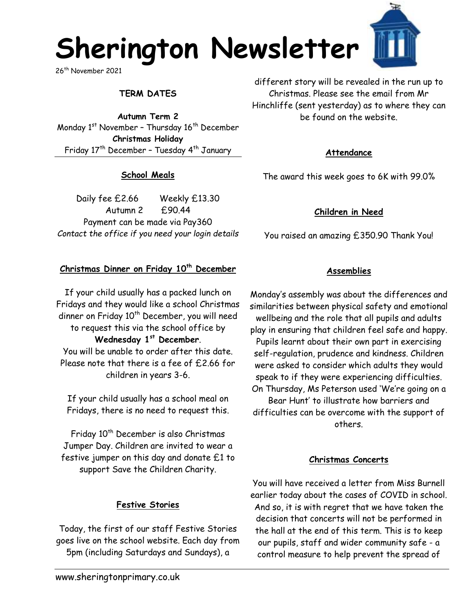# **Sherington Newsletter**

26th November 2021

#### **TERM DATES**

**Autumn Term 2** Monday  $1<sup>st</sup>$  November - Thursday  $16<sup>th</sup>$  December **Christmas Holiday**  Friday 17<sup>th</sup> December - Tuesday 4<sup>th</sup> January

#### **School Meals**

Daily fee £2.66 Weekly £13.30 Autumn 2 £90.44 Payment can be made via Pay360 *Contact the office if you need your login details*

#### **Christmas Dinner on Friday 10th December**

If your child usually has a packed lunch on Fridays and they would like a school Christmas dinner on Friday 10<sup>th</sup> December, you will need to request this via the school office by **Wednesday 1st December**. You will be unable to order after this date. Please note that there is a fee of £2.66 for children in years 3-6.

If your child usually has a school meal on Fridays, there is no need to request this.

Friday 10<sup>th</sup> December is also Christmas Jumper Day. Children are invited to wear a festive jumper on this day and donate £1 to support Save the Children Charity.

#### **Festive Stories**

Today, the first of our staff Festive Stories goes live on the school website. Each day from 5pm (including Saturdays and Sundays), a

different story will be revealed in the run up to Christmas. Please see the email from Mr Hinchliffe (sent yesterday) as to where they can be found on the website.

#### **Attendance**

The award this week goes to 6K with 99.0%

#### **Children in Need**

You raised an amazing £350.90 Thank You!

#### **Assemblies**

Monday's assembly was about the differences and similarities between physical safety and emotional wellbeing and the role that all pupils and adults play in ensuring that children feel safe and happy. Pupils learnt about their own part in exercising self-regulation, prudence and kindness. Children were asked to consider which adults they would speak to if they were experiencing difficulties. On Thursday, Ms Peterson used 'We're going on a Bear Hunt' to illustrate how barriers and difficulties can be overcome with the support of others.

#### **Christmas Concerts**

You will have received a letter from Miss Burnell earlier today about the cases of COVID in school. And so, it is with regret that we have taken the decision that concerts will not be performed in the hall at the end of this term. This is to keep our pupils, staff and wider community safe - a control measure to help prevent the spread of

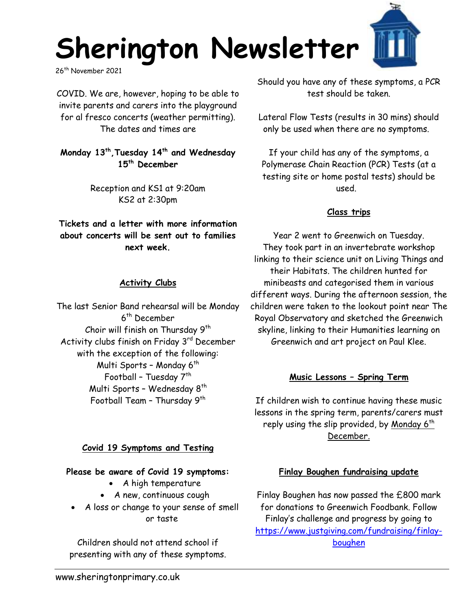

26<sup>th</sup> November 2021

COVID. We are, however, hoping to be able to invite parents and carers into the playground for al fresco concerts (weather permitting). The dates and times are

**Monday 13th ,Tuesday 14th and Wednesday 15th December**

> Reception and KS1 at 9:20am KS2 at 2:30pm

**Tickets and a letter with more information about concerts will be sent out to families next week.**

#### **Activity Clubs**

The last Senior Band rehearsal will be Monday 6<sup>th</sup> December Choir will finish on Thursday 9<sup>th</sup> Activity clubs finish on Friday 3rd December with the exception of the following: Multi Sports - Monday  $6<sup>th</sup>$ Football - Tuesday  $7<sup>th</sup>$ Multi Sports - Wednesday  $8<sup>th</sup>$ Football Team – Thursday 9th

#### **Covid 19 Symptoms and Testing**

#### **Please be aware of Covid 19 symptoms:**

- A high temperature
- A new, continuous cough
- A loss or change to your sense of smell or taste

Children should not attend school if presenting with any of these symptoms. Should you have any of these symptoms, a PCR test should be taken.

Lateral Flow Tests (results in 30 mins) should only be used when there are no symptoms.

If your child has any of the symptoms, a Polymerase Chain Reaction (PCR) Tests (at a testing site or home postal tests) should be used.

#### **Class trips**

Year 2 went to Greenwich on Tuesday. They took part in an invertebrate workshop linking to their science unit on Living Things and their Habitats. The children hunted for minibeasts and categorised them in various different ways. During the afternoon session, the children were taken to the lookout point near The Royal Observatory and sketched the Greenwich skyline, linking to their Humanities learning on Greenwich and art project on Paul Klee.

## **Music Lessons – Spring Term**

If children wish to continue having these music lessons in the spring term, parents/carers must reply using the slip provided, by <u>Monday 6<sup>th</sup></u> December.

#### **Finlay Boughen fundraising update**

Finlay Boughen has now passed the £800 mark for donations to Greenwich Foodbank. Follow Finlay's challenge and progress by going to [https://www.justgiving.com/fundraising/finlay](https://www.justgiving.com/fundraising/finlay-boughen)[boughen](https://www.justgiving.com/fundraising/finlay-boughen)